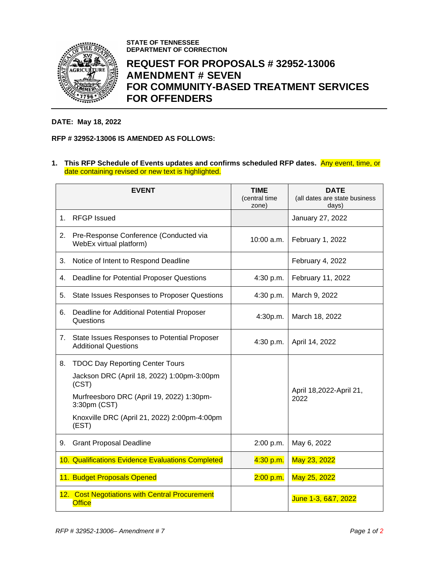

**STATE OF TENNESSEE DEPARTMENT OF CORRECTION**

## **REQUEST FOR PROPOSALS # 32952-13006 AMENDMENT # SEVEN FOR COMMUNITY-BASED TREATMENT SERVICES FOR OFFENDERS**

## **DATE: May 18, 2022**

## **RFP # 32952-13006 IS AMENDED AS FOLLOWS:**

**1. This RFP Schedule of Events updates and confirms scheduled RFP dates.** Any event, time, or date containing revised or new text is highlighted.

|    | <b>EVENT</b>                                                                | <b>TIME</b><br>(central time<br>zone) | <b>DATE</b><br>(all dates are state business<br>days) |
|----|-----------------------------------------------------------------------------|---------------------------------------|-------------------------------------------------------|
| 1. | <b>RFGP</b> Issued                                                          |                                       | January 27, 2022                                      |
| 2. | Pre-Response Conference (Conducted via<br>WebEx virtual platform)           | 10:00 a.m.                            | February 1, 2022                                      |
| З. | Notice of Intent to Respond Deadline                                        |                                       | February 4, 2022                                      |
| 4. | Deadline for Potential Proposer Questions                                   | 4:30 p.m.                             | February 11, 2022                                     |
| 5. | <b>State Issues Responses to Proposer Questions</b>                         | 4:30 p.m.                             | March 9, 2022                                         |
| 6. | Deadline for Additional Potential Proposer<br>Questions                     | 4:30p.m.                              | March 18, 2022                                        |
| 7. | State Issues Responses to Potential Proposer<br><b>Additional Questions</b> | 4:30 p.m.                             | April 14, 2022                                        |
| 8. | <b>TDOC Day Reporting Center Tours</b>                                      |                                       |                                                       |
|    | Jackson DRC (April 18, 2022) 1:00pm-3:00pm<br>(CST)                         |                                       | April 18,2022-April 21,<br>2022                       |
|    | Murfreesboro DRC (April 19, 2022) 1:30pm-<br>3:30pm (CST)                   |                                       |                                                       |
|    | Knoxville DRC (April 21, 2022) 2:00pm-4:00pm<br>(EST)                       |                                       |                                                       |
| 9. | <b>Grant Proposal Deadline</b>                                              | 2:00 p.m.                             | May 6, 2022                                           |
|    | 10. Qualifications Evidence Evaluations Completed                           | 4:30 p.m.                             | May 23, 2022                                          |
|    | 11. Budget Proposals Opened                                                 | 2:00 p.m.                             | May 25, 2022                                          |
|    | 12. Cost Negotiations with Central Procurement<br><b>Office</b>             |                                       | June 1-3, 6&7, 2022                                   |